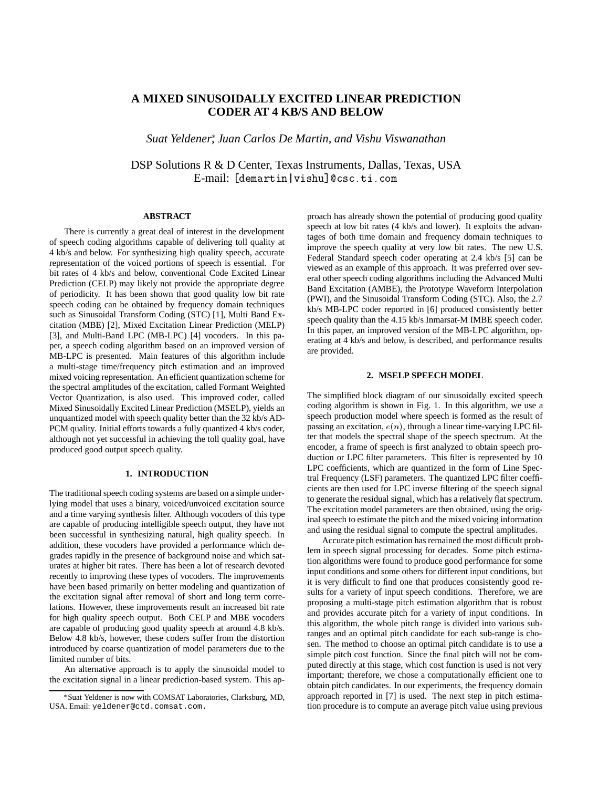# **A MIXED SINUSOIDALLY EXCITED LINEAR PREDICTION CODER AT 4 KB/S AND BELOW**

*Suat Yeldener , Juan Carlos De Martin, and Vishu Viswanathan*

DSP Solutions R & D Center, Texas Instruments, Dallas, Texas, USA E-mail: [demartin|vishu]@csc.ti.com

# **ABSTRACT**

There is currently a great deal of interest in the development of speech coding algorithms capable of delivering toll quality at 4 kb/s and below. For synthesizing high quality speech, accurate representation of the voiced portions of speech is essential. For bit rates of 4 kb/s and below, conventional Code Excited Linear Prediction (CELP) may likely not provide the appropriate degree of periodicity. It has been shown that good quality low bit rate speech coding can be obtained by frequency domain techniques such as Sinusoidal Transform Coding (STC) [1], Multi Band Excitation (MBE) [2], Mixed Excitation Linear Prediction (MELP) [3], and Multi-Band LPC (MB-LPC) [4] vocoders. In this paper, a speech coding algorithm based on an improved version of MB-LPC is presented. Main features of this algorithm include a multi-stage time/frequency pitch estimation and an improved mixed voicing representation. An efficient quantization scheme for the spectral amplitudes of the excitation, called Formant Weighted Vector Quantization, is also used. This improved coder, called Mixed Sinusoidally Excited Linear Prediction (MSELP), yields an unquantized model with speech quality better than the 32 kb/s AD-PCM quality. Initial efforts towards a fully quantized 4 kb/s coder, although not yet successful in achieving the toll quality goal, have produced good output speech quality.

#### **1. INTRODUCTION**

The traditional speech coding systems are based on a simple underlying model that uses a binary, voiced/unvoiced excitation source and a time varying synthesis filter. Although vocoders of this type are capable of producing intelligible speech output, they have not been successful in synthesizing natural, high quality speech. In addition, these vocoders have provided a performance which degrades rapidly in the presence of background noise and which saturates at higher bit rates. There has been a lot of research devoted recently to improving these types of vocoders. The improvements have been based primarily on better modeling and quantization of the excitation signal after removal of short and long term correlations. However, these improvements result an increased bit rate for high quality speech output. Both CELP and MBE vocoders are capable of producing good quality speech at around 4.8 kb/s. Below 4.8 kb/s, however, these coders suffer from the distortion introduced by coarse quantization of model parameters due to the limited number of bits.

An alternative approach is to apply the sinusoidal model to the excitation signal in a linear prediction-based system. This approach has already shown the potential of producing good quality speech at low bit rates (4 kb/s and lower). It exploits the advantages of both time domain and frequency domain techniques to improve the speech quality at very low bit rates. The new U.S. Federal Standard speech coder operating at 2.4 kb/s [5] can be viewed as an example of this approach. It was preferred over several other speech coding algorithms including the Advanced Multi Band Excitation (AMBE), the Prototype Waveform Interpolation (PWI), and the Sinusoidal Transform Coding (STC). Also, the 2.7 kb/s MB-LPC coder reported in [6] produced consistently better speech quality than the 4.15 kb/s Inmarsat-M IMBE speech coder. In this paper, an improved version of the MB-LPC algorithm, operating at 4 kb/s and below, is described, and performance results are provided.

#### **2. MSELP SPEECH MODEL**

The simplified block diagram of our sinusoidally excited speech coding algorithm is shown in Fig. 1. In this algorithm, we use a speech production model where speech is formed as the result of passing an excitation,  $e(n)$ , through a linear time-varying LPC filter that models the spectral shape of the speech spectrum. At the encoder, a frame of speech is first analyzed to obtain speech production or LPC filter parameters. This filter is represented by 10 LPC coefficients, which are quantized in the form of Line Spectral Frequency (LSF) parameters. The quantized LPC filter coefficients are then used for LPC inverse filtering of the speech signal to generate the residual signal, which has a relatively flat spectrum. The excitation model parameters are then obtained, using the original speech to estimate the pitch and the mixed voicing information and using the residual signal to compute the spectral amplitudes.

Accurate pitch estimation has remained the most difficult problem in speech signal processing for decades. Some pitch estimation algorithms were found to produce good performance for some input conditions and some others for different input conditions, but it is very difficult to find one that produces consistently good results for a variety of input speech conditions. Therefore, we are proposing a multi-stage pitch estimation algorithm that is robust and provides accurate pitch for a variety of input conditions. In this algorithm, the whole pitch range is divided into various subranges and an optimal pitch candidate for each sub-range is chosen. The method to choose an optimal pitch candidate is to use a simple pitch cost function. Since the final pitch will not be computed directly at this stage, which cost function is used is not very important; therefore, we chose a computationally efficient one to obtain pitch candidates. In our experiments, the frequency domain approach reported in [7] is used. The next step in pitch estimation procedure is to compute an average pitch value using previous

Suat Yeldener is now with COMSAT Laboratories, Clarksburg, MD, USA. Email: yeldener@ctd.comsat.com.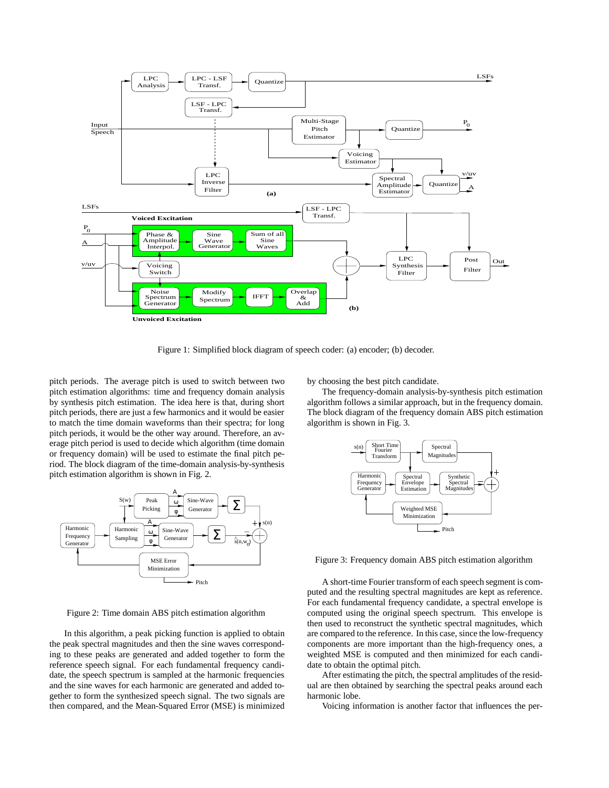

Figure 1: Simplified block diagram of speech coder: (a) encoder; (b) decoder.

pitch periods. The average pitch is used to switch between two pitch estimation algorithms: time and frequency domain analysis by synthesis pitch estimation. The idea here is that, during short pitch periods, there are just a few harmonics and it would be easier to match the time domain waveforms than their spectra; for long pitch periods, it would be the other way around. Therefore, an average pitch period is used to decide which algorithm (time domain or frequency domain) will be used to estimate the final pitch period. The block diagram of the time-domain analysis-by-synthesis pitch estimation algorithm is shown in Fig. 2.



Figure 2: Time domain ABS pitch estimation algorithm

In this algorithm, a peak picking function is applied to obtain the peak spectral magnitudes and then the sine waves corresponding to these peaks are generated and added together to form the reference speech signal. For each fundamental frequency candidate, the speech spectrum is sampled at the harmonic frequencies and the sine waves for each harmonic are generated and added together to form the synthesized speech signal. The two signals are then compared, and the Mean-Squared Error (MSE) is minimized

by choosing the best pitch candidate.

The frequency-domain analysis-by-synthesis pitch estimation algorithm follows a similar approach, but in the frequency domain. The block diagram of the frequency domain ABS pitch estimation algorithm is shown in Fig. 3.



Figure 3: Frequency domain ABS pitch estimation algorithm

A short-time Fourier transform of each speech segment is computed and the resulting spectral magnitudes are kept as reference. For each fundamental frequency candidate, a spectral envelope is computed using the original speech spectrum. This envelope is then used to reconstruct the synthetic spectral magnitudes, which are compared to the reference. In this case, since the low-frequency components are more important than the high-frequency ones, a weighted MSE is computed and then minimized for each candidate to obtain the optimal pitch.

After estimating the pitch, the spectral amplitudes of the residual are then obtained by searching the spectral peaks around each harmonic lobe.

Voicing information is another factor that influences the per-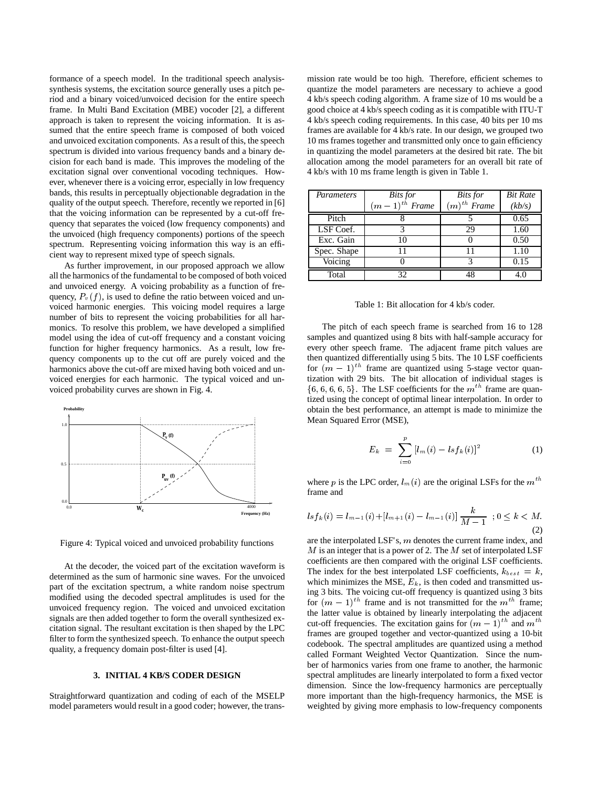formance of a speech model. In the traditional speech analysissynthesis systems, the excitation source generally uses a pitch period and a binary voiced/unvoiced decision for the entire speech frame. In Multi Band Excitation (MBE) vocoder [2], a different approach is taken to represent the voicing information. It is assumed that the entire speech frame is composed of both voiced and unvoiced excitation components. As a result of this, the speech spectrum is divided into various frequency bands and a binary decision for each band is made. This improves the modeling of the excitation signal over conventional vocoding techniques. However, whenever there is a voicing error, especially in low frequency bands, this results in perceptually objectionable degradation in the quality of the output speech. Therefore, recently we reported in [6] that the voicing information can be represented by a cut-off frequency that separates the voiced (low frequency components) and the unvoiced (high frequency components) portions of the speech spectrum. Representing voicing information this way is an efficient way to represent mixed type of speech signals.

As further improvement, in our proposed approach we allow all the harmonics of the fundamental to be composed of both voiced and unvoiced energy. A voicing probability as a function of frequency,  $P_v(f)$ , is used to define the ratio between voiced and unvoiced harmonic energies. This voicing model requires a large number of bits to represent the voicing probabilities for all harmonics. To resolve this problem, we have developed a simplified model using the idea of cut-off frequency and a constant voicing function for higher frequency harmonics. As a result, low frequency components up to the cut off are purely voiced and the harmonics above the cut-off are mixed having both voiced and unvoiced energies for each harmonic. The typical voiced and unvoiced probability curves are shown in Fig. 4.



Figure 4: Typical voiced and unvoiced probability functions

At the decoder, the voiced part of the excitation waveform is determined as the sum of harmonic sine waves. For the unvoiced part of the excitation spectrum, a white random noise spectrum modified using the decoded spectral amplitudes is used for the unvoiced frequency region. The voiced and unvoiced excitation signals are then added together to form the overall synthesized excitation signal. The resultant excitation is then shaped by the LPC filter to form the synthesized speech. To enhance the output speech quality, a frequency domain post-filter is used [4].

### **3. INITIAL 4 KB/S CODER DESIGN**

Straightforward quantization and coding of each of the MSELP model parameters would result in a good coder; however, the transmission rate would be too high. Therefore, efficient schemes to quantize the model parameters are necessary to achieve a good 4 kb/s speech coding algorithm. A frame size of 10 ms would be a good choice at 4 kb/s speech coding as it is compatible with ITU-T 4 kb/s speech coding requirements. In this case, 40 bits per 10 ms frames are available for 4 kb/s rate. In our design, we grouped two 10 ms frames together and transmitted only once to gain efficiency in quantizing the model parameters at the desired bit rate. The bit allocation among the model parameters for an overall bit rate of 4 kb/s with 10 ms frame length is given in Table 1.

| Parameters  | <b>Bits</b> for    | <b>Bits</b> for  | <b>Bit Rate</b> |
|-------------|--------------------|------------------|-----------------|
|             | $(m-1)^{th}$ Frame | $(m)^{th}$ Frame | (kb/s)          |
| Pitch       |                    |                  | 0.65            |
| LSF Coef.   |                    | 29               | 1.60            |
| Exc. Gain   | 10                 |                  | 0.50            |
| Spec. Shape |                    | 11               | 1.10            |
| Voicing     |                    |                  | 0.15            |
| Total       | 32                 | 48               |                 |

#### Table 1: Bit allocation for 4 kb/s coder.

The pitch of each speech frame is searched from 16 to 128 samples and quantized using 8 bits with half-sample accuracy for every other speech frame. The adjacent frame pitch values are then quantized differentially using 5 bits. The 10 LSF coefficients for  $(m - 1)^{th}$  frame are quantized using 5-stage vector quantization with 29 bits. The bit allocation of individual stages is  $\{6, 6, 6, 6, 5\}$ . The LSF coefficients for the  $m<sup>th</sup>$  frame are quantized using the concept of optimal linear interpolation. In order to obtain the best performance, an attempt is made to minimize the Mean Squared Error (MSE),

$$
E_k = \sum_{i=0}^{p} [l_m(i) - lsf_k(i)]^2 \tag{1}
$$

where p is the LPC order,  $l_m(i)$  are the original LSFs for the  $m^{th}$ frame and

$$
lsf_k(i) = l_{m-1}(i) + [l_{m+1}(i) - l_{m-1}(i)] \frac{k}{M-1} \quad ; 0 \le k < M. \tag{2}
$$

are the interpolated LSF's, <sup>m</sup> denotes the current frame index, and  $M$  is an integer that is a power of 2. The  $M$  set of interpolated LSF coefficients are then compared with the original LSF coefficients. The index for the best interpolated LSF coefficients,  $k_{best} = k$ , which minimizes the MSE,  $E_k$ , is then coded and transmitted using 3 bits. The voicing cut-off frequency is quantized using 3 bits for  $(m - 1)^{th}$  frame and is not transmitted for the  $m^{th}$  frame; the latter value is obtained by linearly interpolating the adjacent cut-off frequencies. The excitation gains for  $(m - 1)^{th}$  and  $m^{th}$ frames are grouped together and vector-quantized using a 10-bit codebook. The spectral amplitudes are quantized using a method called Formant Weighted Vector Quantization. Since the number of harmonics varies from one frame to another, the harmonic spectral amplitudes are linearly interpolated to form a fixed vector dimension. Since the low-frequency harmonics are perceptually more important than the high-frequency harmonics, the MSE is weighted by giving more emphasis to low-frequency components